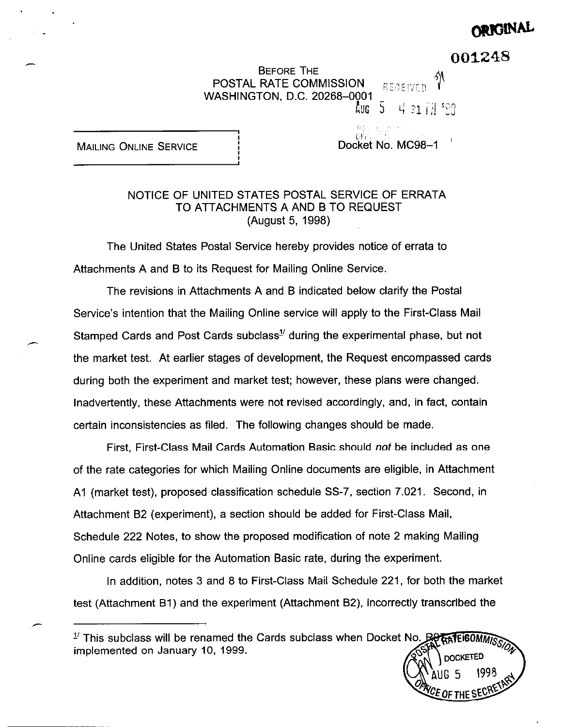# ORIGINAL

001248

G<sub>5</sub>

 $\epsilon$  of the SES

BEFORE THE **POSTAL RATE COMMISSION** ::  $RECEIVED$ WASHINGTON, D.C. 20268-0001 T

 $A$ UG  $\rightarrow$  4  $z$ 1  $\overline{i}$   $H$   $^s$ 33

I i:It, ::It, ::It, ::It, ::It, ::It, ::It, ::It, ::It, ::It, ::It, ::It, ::It, ::It, ::It, ::It, ::It, ::It, ::It, ::It, ::It, ::It, ::It, ::It, ::It, ::It, ::It, ::It, ::It, ::It, ::It, ::It, ::It, ::It, ::It, ::It, ::It MAILING ONLINE SERVICE **I I** I I Docket No. MC98-1

i:;,

# NOTICE OF UNITED STATES POSTAL SERVICE OF ERRATA TO ATTACHMENTS A AND B TO REQUEST (August 5, 1998)

The United States Postal Service hereby provides notice of errata to Attachments A and B to its Request for Mailing Online Service.

,

The revisions in Attachments A and B indicated below clarify the Postal Service's intention that the Mailing Online service will apply to the First-Class Mail Stamped Cards and Post Cards subclass<sup> $1/2$ </sup> during the experimental phase, but not the market test. At earlier stages of development, the Request encompassed cards during both the experiment and market test; however, these plans were changed. Inadvertently, these Attachments were not revised accordingly, and, in fact, contain certain inconsistencies as filed. The following changes should be made.

First, First-Class Mail Cards Automation Basic should not be included as one of the rate categories for which Mailing Online documents are eligible, in Attachment Al (market test), proposed classification schedule SS-7, section 7.021. Second, in Attachment B2 (experiment), a section should be added for First-Class Mail, Schedule 222 Notes, to show the proposed modification of note 2 making Mailing Online cards eligible for the Automation Basic rate, during the experiment.

In addition, notes 3 and 8 to First-Class Mail Schedule 221, for both the market test (Attachment Bl) and the experiment (Attachment B2), incorrectly transcribed the

**RATEIGOMMISSIO**  $\frac{1}{2}$  This subclass will be renamed the Cards subclass when Docket No.  $\mathbb{R}\Theta$ implemented on January 10, 1999. **DOCKETED**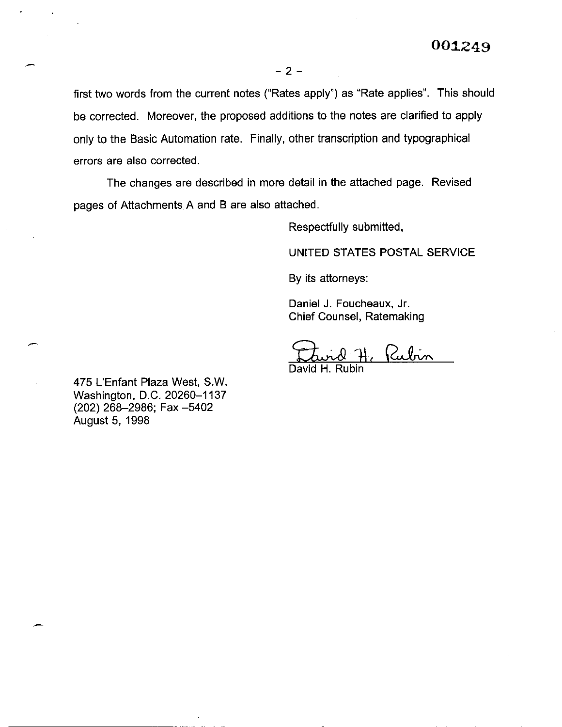first two words from the current notes ("Rates apply") as "Rate applies". This should be corrected. Moreover, the proposed additions to the notes are clarified to apply only to the Basic Automation rate. Finally, other transcription and typographical errors are also corrected.

The changes are described in more detail in the attached page. Revised pages of Attachments A and B are also attached.

Respectfully submitted,

UNITED STATES POSTAL SERVICE

By its attorneys:

Daniel J. Foucheaux, Jr. Chief Counsel, Ratemaking

Rubin

David H. Rubin

475 L'Enfant Plaza West, S.W. Washington, D.C. 20260-1137 (202) 268-2986; Fax -5402 August 5, 1998

.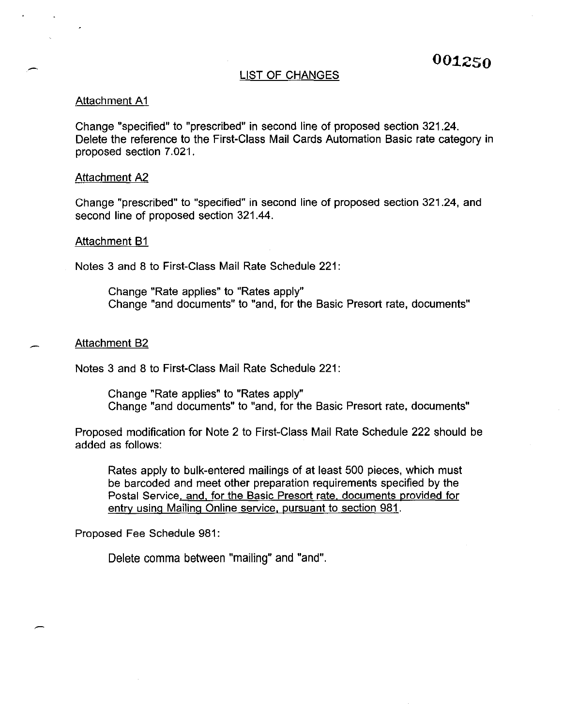#### LIST OF CHANGES

## Attachment Al

Change "specified" to "prescribed" in second line of proposed section 321.24. Delete the reference to the First-Class Mail Cards Automation Basic rate category in proposed section 7.021.

#### Attachment A2

Change "prescribed" to "specified" in second line of proposed section 321.24, and second line of proposed section 321.44.

#### Attachment B1

Notes 3 and 8 to First-Class Mail Rate Schedule 221:

Change "Rate applies" to "Rates apply" Change "and documents" to "and, for the Basic Presort rate, documents"

#### Attachment B2

Notes 3 and 8 to First-Class Mail Rate Schedule 221:

Change "Rate applies" to "Rates apply" Change "and documents" to "and, for the Basic Presort rate, documents"

Proposed modification for Note 2 to First-Class Mail Rate Schedule 222 should be added as follows:

Rates apply to bulk-entered mailings of at least 500 pieces, which must be barcoded and meet other preparation requirements specified by the Postal Service, and, for the Basic Presort rate, documents provided for entry using Mailing Online service, pursuant to section 981.

Proposed Fee Schedule 981:

Delete comma between "mailing" and "and".